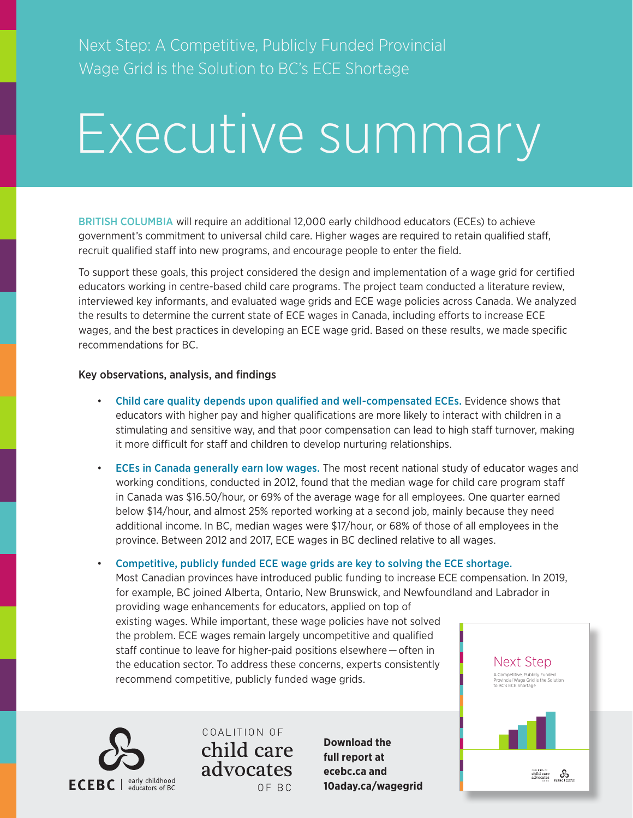Next Step: A Competitive, Publicly Funded Provincial Wage Grid is the Solution to BC's ECE Shortage

# Executive summary

BRITISH COLUMBIA will require an additional 12,000 early childhood educators (ECEs) to achieve government's commitment to universal child care. Higher wages are required to retain qualified staff, recruit qualified staff into new programs, and encourage people to enter the field.

To support these goals, this project considered the design and implementation of a wage grid for certified educators working in centre-based child care programs. The project team conducted a literature review, interviewed key informants, and evaluated wage grids and ECE wage policies across Canada. We analyzed the results to determine the current state of ECE wages in Canada, including efforts to increase ECE wages, and the best practices in developing an ECE wage grid. Based on these results, we made specific recommendations for BC.

#### Key observations, analysis, and findings

- Child care quality depends upon qualified and well-compensated ECEs. Evidence shows that educators with higher pay and higher qualifications are more likely to interact with children in a stimulating and sensitive way, and that poor compensation can lead to high staff turnover, making it more difficult for staff and children to develop nurturing relationships.
- ECEs in Canada generally earn low wages. The most recent national study of educator wages and working conditions, conducted in 2012, found that the median wage for child care program staff in Canada was \$16.50/hour, or 69% of the average wage for all employees. One quarter earned below \$14/hour, and almost 25% reported working at a second job, mainly because they need additional income. In BC, median wages were \$17/hour, or 68% of those of all employees in the province. Between 2012 and 2017, ECE wages in BC declined relative to all wages.

• Competitive, publicly funded ECE wage grids are key to solving the ECE shortage.

Most Canadian provinces have introduced public funding to increase ECE compensation. In 2019, for example, BC joined Alberta, Ontario, New Brunswick, and Newfoundland and Labrador in providing wage enhancements for educators, applied on top of existing wages. While important, these wage policies have not solved the problem. ECE wages remain largely uncompetitive and qualified staff continue to leave for higher-paid positions elsewhere — often in the education sector. To address these concerns, experts consistently recommend competitive, publicly funded wage grids. Next Step A Competitive, Publicly F **Provincial Wage Grid is the Solution** 



COALITION OF child care advocates OF BC

**Download the full report at ecebc.ca and [10aday.ca/wagegrid](https://www.10aday.ca/wagegrid)**

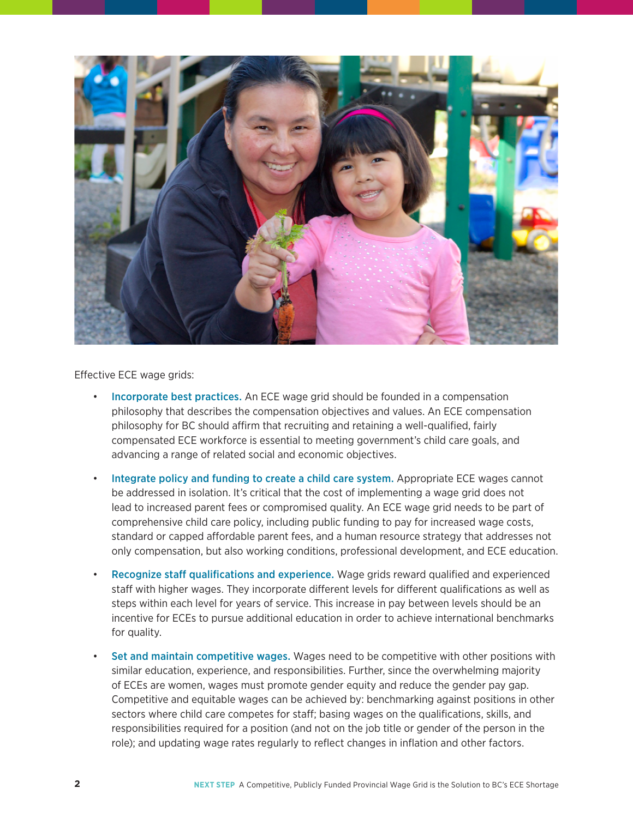

#### Effective ECE wage grids:

- Incorporate best practices. An ECE wage grid should be founded in a compensation philosophy that describes the compensation objectives and values. An ECE compensation philosophy for BC should affirm that recruiting and retaining a well-qualified, fairly compensated ECE workforce is essential to meeting government's child care goals, and advancing a range of related social and economic objectives.
- Integrate policy and funding to create a child care system. Appropriate ECE wages cannot be addressed in isolation. It's critical that the cost of implementing a wage grid does not lead to increased parent fees or compromised quality. An ECE wage grid needs to be part of comprehensive child care policy, including public funding to pay for increased wage costs, standard or capped affordable parent fees, and a human resource strategy that addresses not only compensation, but also working conditions, professional development, and ECE education.
- Recognize staff qualifications and experience. Wage grids reward qualified and experienced staff with higher wages. They incorporate different levels for different qualifications as well as steps within each level for years of service. This increase in pay between levels should be an incentive for ECEs to pursue additional education in order to achieve international benchmarks for quality.
- Set and maintain competitive wages. Wages need to be competitive with other positions with similar education, experience, and responsibilities. Further, since the overwhelming majority of ECEs are women, wages must promote gender equity and reduce the gender pay gap. Competitive and equitable wages can be achieved by: benchmarking against positions in other sectors where child care competes for staff; basing wages on the qualifications, skills, and responsibilities required for a position (and not on the job title or gender of the person in the role); and updating wage rates regularly to reflect changes in inflation and other factors.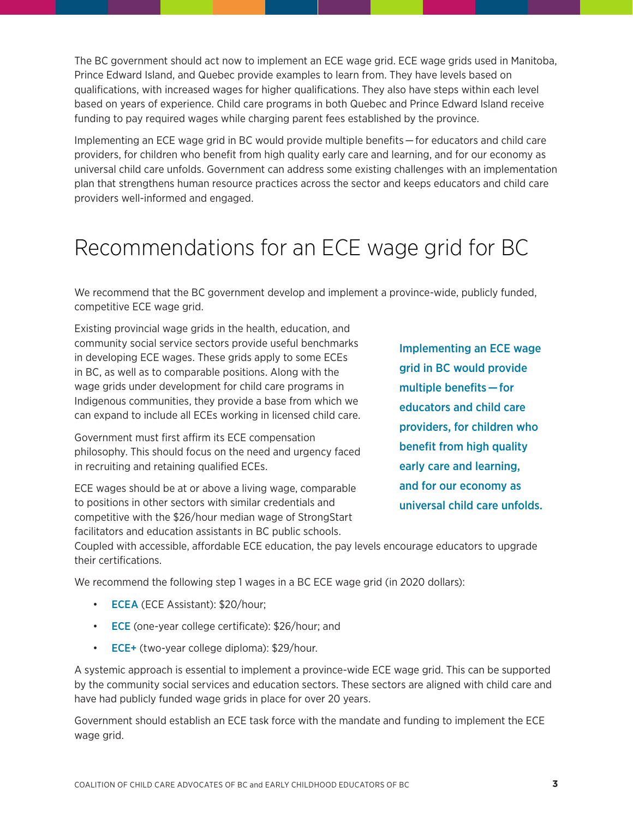The BC government should act now to implement an ECE wage grid. ECE wage grids used in Manitoba, Prince Edward Island, and Quebec provide examples to learn from. They have levels based on qualifications, with increased wages for higher qualifications. They also have steps within each level based on years of experience. Child care programs in both Quebec and Prince Edward Island receive funding to pay required wages while charging parent fees established by the province.

Implementing an ECE wage grid in BC would provide multiple benefits — for educators and child care providers, for children who benefit from high quality early care and learning, and for our economy as universal child care unfolds. Government can address some existing challenges with an implementation plan that strengthens human resource practices across the sector and keeps educators and child care providers well-informed and engaged.

## Recommendations for an ECE wage grid for BC

We recommend that the BC government develop and implement a province-wide, publicly funded, competitive ECE wage grid.

Existing provincial wage grids in the health, education, and community social service sectors provide useful benchmarks in developing ECE wages. These grids apply to some ECEs in BC, as well as to comparable positions. Along with the wage grids under development for child care programs in Indigenous communities, they provide a base from which we can expand to include all ECEs working in licensed child care.

Government must first affirm its ECE compensation philosophy. This should focus on the need and urgency faced in recruiting and retaining qualified ECEs.

ECE wages should be at or above a living wage, comparable to positions in other sectors with similar credentials and competitive with the \$26/hour median wage of StrongStart facilitators and education assistants in BC public schools.

Implementing an ECE wage grid in BC would provide multiple benefits — for educators and child care providers, for children who benefit from high quality early care and learning, and for our economy as universal child care unfolds.

Coupled with accessible, affordable ECE education, the pay levels encourage educators to upgrade their certifications.

We recommend the following step 1 wages in a BC ECE wage grid (in 2020 dollars):

- **ECEA** (ECE Assistant): \$20/hour;
- ECE (one-year college certificate): \$26/hour; and
- **ECE+** (two-year college diploma): \$29/hour.

A systemic approach is essential to implement a province-wide ECE wage grid. This can be supported by the community social services and education sectors. These sectors are aligned with child care and have had publicly funded wage grids in place for over 20 years.

Government should establish an ECE task force with the mandate and funding to implement the ECE wage grid.